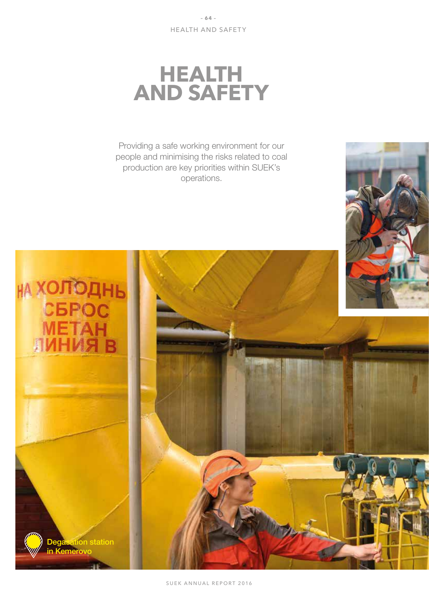# **HEALTH AND SAFETY**

Providing a safe working environment for our people and minimising the risks related to coal production are key priorities within SUEK's operations.

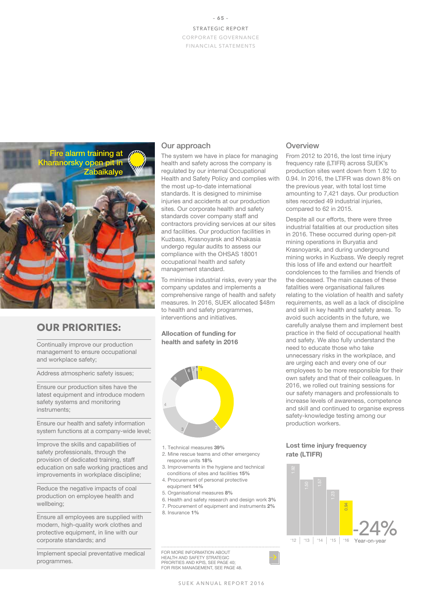### **– 65 –** STRATEGIC REPORT CORPORATE GOVERNANCE FINANCIAL STATEMENTS



# **OUR PRIORITIES:**

Continually improve our production management to ensure occupational and workplace safety;

Address atmospheric safety issues;

Ensure our production sites have the latest equipment and introduce modern safety systems and monitoring instruments;

Ensure our health and safety information system functions at a company-wide level;

Improve the skills and capabilities of safety professionals, through the provision of dedicated training, staff education on safe working practices and improvements in workplace discipline;

Reduce the negative impacts of coal production on employee health and wellbeing;

Ensure all employees are supplied with modern, high-quality work clothes and protective equipment, in line with our corporate standards; and

Implement special preventative medical programmes.

# Our approach

The system we have in place for managing health and safety across the company is regulated by our internal Occupational Health and Safety Policy and complies with the most up-to-date international standards. It is designed to minimise injuries and accidents at our production sites. Our corporate health and safety standards cover company staff and contractors providing services at our sites and facilities. Our production facilities in Kuzbass, Krasnoyarsk and Khakasia undergo regular audits to assess our compliance with the OHSAS 18001 occupational health and safety management standard.

To minimise industrial risks, every year the company updates and implements a comprehensive range of health and safety measures. In 2016, SUEK allocated \$48m to health and safety programmes, interventions and initiatives.

Allocation of funding for health and safety in 2016



- 1. Technical measures 39%
- 2. Mine rescue teams and other emergency response units 18%
- 3. Improvements in the hygiene and technical conditions of sites and facilities 15%
- 4. Procurement of personal protective
- equipment 14% 5. Organisational measures 8%
- 6. Health and safety research and design work 3%
- 7. Procurement of equipment and instruments 2%
- 8. Insurance 1%

FOR MORE INFORMATION ABOUT HEALTH AND SAFETY STRATEGIC PRIORITIES AND KPIS, SEE PAGE 40; FOR RISK MANAGEMENT, SEE PAGE 48.

# **Overview**

From 2012 to 2016, the lost time injury frequency rate (LTIFR) across SUEK's production sites went down from 1.92 to 0.94. In 2016, the LTIFR was down 8% on the previous year, with total lost time amounting to 7,421 days. Our production sites recorded 49 industrial injuries, compared to 62 in 2015.

Despite all our efforts, there were three industrial fatalities at our production sites in 2016. These occurred during open-pit mining operations in Buryatia and Krasnoyarsk, and during underground mining works in Kuzbass. We deeply regret this loss of life and extend our heartfelt condolences to the families and friends of the deceased. The main causes of these fatalities were organisational failures relating to the violation of health and safety requirements, as well as a lack of discipline and skill in key health and safety areas. To avoid such accidents in the future, we carefully analyse them and implement best practice in the field of occupational health and safety. We also fully understand the need to educate those who take unnecessary risks in the workplace, and are urging each and every one of our employees to be more responsible for their own safety and that of their colleagues. In 2016, we rolled out training sessions for our safety managers and professionals to increase levels of awareness, competence and skill and continued to organise express safety-knowledge testing among our production workers.

#### Lost time injury frequency rate (LTIFR)

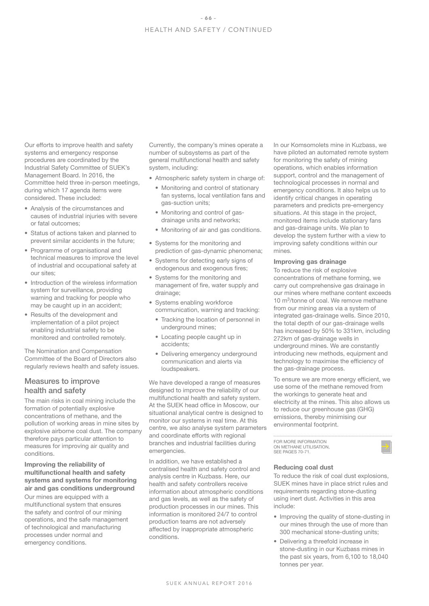Our efforts to improve health and safety systems and emergency response procedures are coordinated by the Industrial Safety Committee of SUEK's Management Board. In 2016, the Committee held three in-person meetings, during which 17 agenda items were considered. These included:

- Analysis of the circumstances and causes of industrial injuries with severe or fatal outcomes;
- Status of actions taken and planned to prevent similar accidents in the future;
- Programme of organisational and technical measures to improve the level of industrial and occupational safety at our sites;
- Introduction of the wireless information system for surveillance, providing warning and tracking for people who may be caught up in an accident;
- Results of the development and implementation of a pilot project enabling industrial safety to be monitored and controlled remotely.

The Nomination and Compensation Committee of the Board of Directors also regularly reviews health and safety issues.

# Measures to improve health and safety

The main risks in coal mining include the formation of potentially explosive concentrations of methane, and the pollution of working areas in mine sites by explosive airborne coal dust. The company therefore pays particular attention to measures for improving air quality and conditions.

#### Improving the reliability of multifunctional health and safety systems and systems for monitoring air and gas conditions underground

Our mines are equipped with a multifunctional system that ensures the safety and control of our mining operations, and the safe management of technological and manufacturing processes under normal and emergency conditions.

Currently, the company's mines operate a number of subsystems as part of the general multifunctional health and safety system, including:

• Atmospheric safety system in charge of:

- Monitoring and control of stationary fan systems, local ventilation fans and gas-suction units;
- Monitoring and control of gasdrainage units and networks;
- Monitoring of air and gas conditions.
- Systems for the monitoring and prediction of gas-dynamic phenomena;
- Systems for detecting early signs of endogenous and exogenous fires;
- Systems for the monitoring and management of fire, water supply and drainage;
- Systems enabling workforce communication, warning and tracking:
	- Tracking the location of personnel in underground mines;
	- Locating people caught up in accidents;
	- Delivering emergency underground communication and alerts via loudspeakers.

We have developed a range of measures designed to improve the reliability of our multifunctional health and safety system. At the SUEK head office in Moscow, our situational analytical centre is designed to monitor our systems in real time. At this centre, we also analyse system parameters and coordinate efforts with regional branches and industrial facilities during emergencies.

In addition, we have established a centralised health and safety control and analysis centre in Kuzbass. Here, our health and safety controllers receive information about atmospheric conditions and gas levels, as well as the safety of production processes in our mines. This information is monitored 24/7 to control production teams are not adversely affected by inappropriate atmospheric conditions.

In our Komsomolets mine in Kuzbass, we have piloted an automated remote system for monitoring the safety of mining operations, which enables information support, control and the management of technological processes in normal and emergency conditions. It also helps us to identify critical changes in operating parameters and predicts pre-emergency situations. At this stage in the project, monitored items include stationary fans and gas-drainage units. We plan to develop the system further with a view to improving safety conditions within our mines.

#### Improving gas drainage

To reduce the risk of explosive concentrations of methane forming, we carry out comprehensive gas drainage in our mines where methane content exceeds 10 m<sup>3</sup>/tonne of coal. We remove methane from our mining areas via a system of integrated gas-drainage wells. Since 2010, the total depth of our gas-drainage wells has increased by 50% to 331km, including 272km of gas-drainage wells in underground mines. We are constantly introducing new methods, equipment and technology to maximise the efficiency of the gas-drainage process.

To ensure we are more energy efficient, we use some of the methane removed from the workings to generate heat and electricity at the mines. This also allows us to reduce our greenhouse gas (GHG) emissions, thereby minimising our environmental footprint.

FOR MORE INFORMATION ON METHANE UTILISATION. SEE PAGES 70-71

#### Reducing coal dust

To reduce the risk of coal dust explosions, SUEK mines have in place strict rules and requirements regarding stone-dusting using inert dust. Activities in this area include:

- Improving the quality of stone-dusting in our mines through the use of more than 300 mechanical stone-dusting units;
- Delivering a threefold increase in stone-dusting in our Kuzbass mines in the past six years, from 6,100 to 18,040 tonnes per year.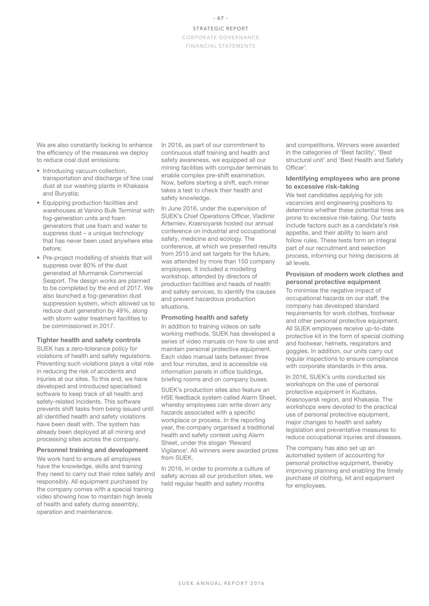#### STRATEGIC REPORT CORPORATE GOVERNANCE FINANCIAL STATEMENTS

We are also constantly looking to enhance the efficiency of the measures we deploy to reduce coal dust emissions:

- Introducing vacuum collection, transportation and discharge of fine coal dust at our washing plants in Khakasia and Buryatia;
- Equipping production facilities and warehouses at Vanino Bulk Terminal with fog-generation units and foam generators that use foam and water to suppress dust – a unique technology that has never been used anywhere else before;
- Pre-project modelling of shields that will suppress over 80% of the dust generated at Murmansk Commercial Seaport. The design works are planned to be completed by the end of 2017. We also launched a fog-generation dust suppression system, which allowed us to reduce dust generation by 49%, along with storm water treatment facilities to be commissioned in 2017.

#### Tighter health and safety controls

SUEK has a zero-tolerance policy for violations of health and safety regulations. Preventing such violations plays a vital role in reducing the risk of accidents and injuries at our sites. To this end, we have developed and introduced specialised software to keep track of all health and safety-related incidents. This software prevents shift tasks from being issued until all identified health and safety violations have been dealt with. The system has already been deployed at all mining and processing sites across the company.

#### Personnel training and development

We work hard to ensure all employees have the knowledge, skills and training they need to carry out their roles safely and responsibly. All equipment purchased by the company comes with a special training video showing how to maintain high levels of health and safety during assembly, operation and maintenance.

In 2016, as part of our commitment to continuous staff training and health and safety awareness, we equipped all our mining facilities with computer terminals to enable complex pre-shift examination. Now, before starting a shift, each miner takes a test to check their health and safety knowledge.

In June 2016, under the supervision of SUEK's Chief Operations Officer, Vladimir Artemiev, Krasnoyarsk hosted our annual conference on industrial and occupational safety, medicine and ecology. The conference, at which we presented results from 2015 and set targets for the future. was attended by more than 150 company employees. It included a modelling workshop, attended by directors of production facilities and heads of health and safety services, to identify the causes and prevent hazardous production situations.

#### Promoting health and safety

In addition to training videos on safe working methods, SUEK has developed a series of video manuals on how to use and maintain personal protective equipment. Each video manual lasts between three and four minutes, and is accessible via information panels in office buildings, briefing rooms and on company buses.

SUEK's production sites also feature an HSE feedback system called Alarm Sheet, whereby employees can write down any hazards associated with a specific workplace or process. In the reporting year, the company organised a traditional health and safety contest using Alarm Sheet, under the slogan 'Reward Vigilance'. All winners were awarded prizes from SUEK.

In 2016, in order to promote a culture of safety across all our production sites, we held regular health and safety months

and competitions. Winners were awarded in the categories of 'Best facility', 'Best structural unit' and 'Best Health and Safety Officer'.

#### Identifying employees who are prone to excessive risk-taking

We test candidates applying for job vacancies and engineering positions to determine whether these potential hires are prone to excessive risk-taking. Our tests include factors such as a candidate's risk appetite, and their ability to learn and follow rules. These tests form an integral part of our recruitment and selection process, informing our hiring decisions at all levels.

#### Provision of modern work clothes and personal protective equipment

To minimise the negative impact of occupational hazards on our staff, the company has developed standard requirements for work clothes, footwear and other personal protective equipment. All SUEK employees receive up-to-date protective kit in the form of special clothing and footwear, helmets, respirators and goggles. In addition, our units carry out regular inspections to ensure compliance with corporate standards in this area.

In 2016, SUEK's units conducted six workshops on the use of personal protective equipment in Kuzbass, Krasnoyarsk region, and Khakasia. The workshops were devoted to the practical use of personal protective equipment. major changes to health and safety legislation and preventative measures to reduce occupational injuries and diseases.

The company has also set up an automated system of accounting for personal protective equipment, thereby improving planning and enabling the timely purchase of clothing, kit and equipment .<br>for employees.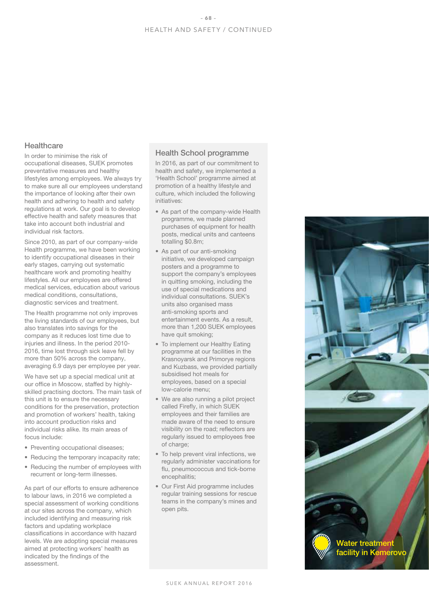# **Healthcare**

In order to minimise the risk of occupational diseases, SUEK promotes preventative measures and healthy lifestyles among employees. We always try to make sure all our employees understand the importance of looking after their own health and adhering to health and safety regulations at work. Our goal is to develop effective health and safety measures that take into account both industrial and individual risk factors.

Since 2010, as part of our company-wide Health programme, we have been working to identify occupational diseases in their early stages, carrying out systematic healthcare work and promoting healthy lifestyles. All our employees are offered medical services, education about various medical conditions, consultations, diagnostic services and treatment.

The Health programme not only improves the living standards of our employees, but also translates into savings for the company as it reduces lost time due to injuries and illness. In the period 2010- 2016, time lost through sick leave fell by more than 50% across the company, averaging 6.9 days per employee per year.

We have set up a special medical unit at our office in Moscow, staffed by highlyskilled practising doctors. The main task of this unit is to ensure the necessary conditions for the preservation, protection and promotion of workers' health, taking into account production risks and individual risks alike. Its main areas of focus include:

- Preventing occupational diseases;
- Reducing the temporary incapacity rate;
- Reducing the number of employees with recurrent or long-term illnesses.

As part of our efforts to ensure adherence to labour laws, in 2016 we completed a special assessment of working conditions at our sites across the company, which included identifying and measuring risk factors and updating workplace classifications in accordance with hazard levels. We are adopting special measures aimed at protecting workers' health as indicated by the findings of the assessment.

#### Health School programme

In 2016, as part of our commitment to health and safety, we implemented a 'Health School' programme aimed at promotion of a healthy lifestyle and culture, which included the following initiatives:

- As part of the company-wide Health programme, we made planned purchases of equipment for health posts, medical units and canteens totalling \$0.8m;
- As part of our anti-smoking initiative, we developed campaign posters and a programme to support the company's employees in quitting smoking, including the use of special medications and individual consultations. SUEK's units also organised mass anti-smoking sports and entertainment events. As a result, more than 1,200 SUEK employees have quit smoking;
- To implement our Healthy Eating programme at our facilities in the Krasnoyarsk and Primorye regions and Kuzbass, we provided partially subsidised hot meals for employees, based on a special low-calorie menu;
- We are also running a pilot project called Firefly, in which SUEK employees and their families are made aware of the need to ensure visibility on the road; reflectors are regularly issued to employees free of charge;
- To help prevent viral infections, we regularly administer vaccinations for flu, pneumococcus and tick-borne encephalitis;
- Our First Aid programme includes regular training sessions for rescue teams in the company's mines and open pits.

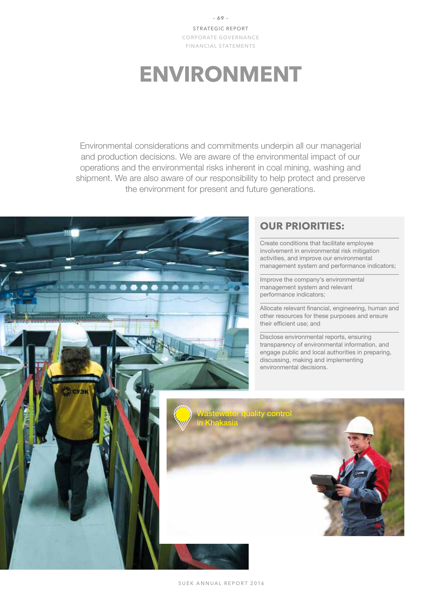**– 69 –** STRATEGIC REPORT CORPORATE GOVERNANCE FINANCIAL STATEMENTS

# **ENVIRONMENT**

Environmental considerations and commitments underpin all our managerial and production decisions. We are aware of the environmental impact of our operations and the environmental risks inherent in coal mining, washing and shipment. We are also aware of our responsibility to help protect and preserve the environment for present and future generations.



# **OUR PRIORITIES:**

Create conditions that facilitate employee involvement in environmental risk mitigation activities, and improve our environmental management system and performance indicators;

Improve the company's environmental management system and relevant performance indicators;

Allocate relevant financial, engineering, human and other resources for these purposes and ensure their efficient use; and

Disclose environmental reports, ensuring transparency of environmental information, and engage public and local authorities in preparing, discussing, making and implementing environmental decisions.

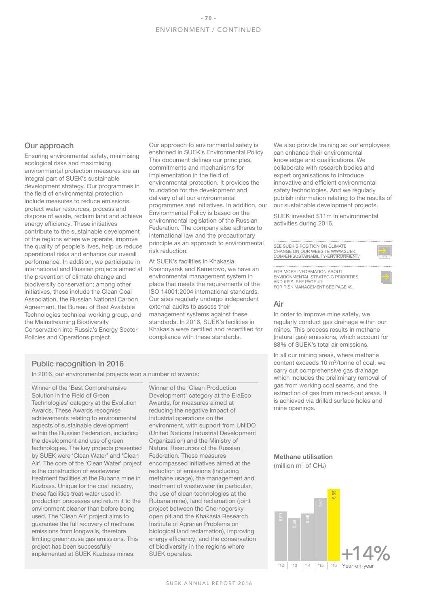#### Our approach

Ensuring environmental safety, minimising ecological risks and maximising environmental protection measures are an integral part of SUEK's sustainable development strategy. Our programmes in the field of environmental protection include measures to reduce emissions, protect water resources, process and dispose of waste, reclaim land and achieve energy efficiency. These initiatives contribute to the sustainable development of the regions where we operate, improve the quality of people's lives, help us reduce operational risks and enhance our overall performance. In addition, we participate in international and Russian projects aimed at the prevention of climate change and biodiversity conservation; among other initiatives, these include the Clean Coal Association, the Russian National Carbon Agreement, the Bureau of Best Available Technologies technical working group, and the Mainstreaming Biodiversity Conservation into Russia's Energy Sector Policies and Operations project.

Our approach to environmental safety is enshrined in SUEK's Environmental Policy. This document defines our principles, commitments and mechanisms for implementation in the field of environmental protection. It provides the foundation for the development and delivery of all our environmental programmes and initiatives. In addition, our Environmental Policy is based on the environmental legislation of the Russian Federation. The company also adheres to international law and the precautionary principle as an approach to environmental risk reduction.

At SUEK's facilities in Khakasia, Krasnoyarsk and Kemerovo, we have an environmental management system in place that meets the requirements of the ISO 14001:2004 international standards. Our sites regularly undergo independent external audits to assess their management systems against these standards. In 2016, SUEK's facilities in Khakasia were certified and recertified for compliance with these standards.

We also provide training so our employees can enhance their environmental knowledge and qualifications. We collaborate with research bodies and expert organisations to introduce innovative and efficient environmental safety technologies. And we regularly publish information relating to the results of our sustainable development projects.

SUEK invested \$11m in environmental activities during 2016.

SEE SUEK'S POSITION ON CLIMATE CHANGE ON OUR WEBSITE WWW.SUEK. COM/EN/SUSTAINABILITY/ENVIRONMENT/

FOR MORE INFORMATION ABOUT ENVIRONMENTAL STRATEGIC PRIORITIES AND KPIS, SEE PAGE 41; FOR RISK MANAGEMENT SEE PAGE 49.

#### Air

In order to improve mine safety, we regularly conduct gas drainage within our mines. This process results in methane (natural gas) emissions, which account for 88% of SUEK's total air emissions.

In all our mining areas, where methane content exceeds 10 m3/tonne of coal, we carry out comprehensive gas drainage which includes the preliminary removal of gas from working coal seams, and the extraction of gas from mined-out areas. It is achieved via drilled surface holes and mine openings.

# Public recognition in 2016

In 2016, our environmental projects won a number of awards:

Winner of the 'Best Comprehensive Solution in the Field of Green Technologies' category at the Evolution Awards. These Awards recognise achievements relating to environmental aspects of sustainable development within the Russian Federation, including the development and use of green technologies. The key projects presented by SUEK were 'Clean Water' and 'Clean Air'. The core of the 'Clean Water' project is the construction of wastewater treatment facilities at the Rubana mine in Kuzbass. Unique for the coal industry, these facilities treat water used in production processes and return it to the environment cleaner than before being used. The 'Clean Air' project aims to guarantee the full recovery of methane emissions from longwalls, therefore limiting greenhouse gas emissions. This project has been successfully implemented at SUEK Kuzbass mines.

Winner of the 'Clean Production Development' category at the EraEco Awards, for measures aimed at reducing the negative impact of industrial operations on the environment, with support from UNIDO (United Nations Industrial Development Organization) and the Ministry of Natural Resources of the Russian Federation. These measures encompassed initiatives aimed at the reduction of emissions (including methane usage), the management and treatment of wastewater (in particular, the use of clean technologies at the Rubana mine), land reclamation (joint project between the Chernogorsky open pit and the Khakasia Research Institute of Agrarian Problems on biological land reclamation), improving energy efficiency, and the conservation of biodiversity in the regions where SUEK operates.

# Methane utilisation

(million  $m^3$  of CH<sub>4</sub>)

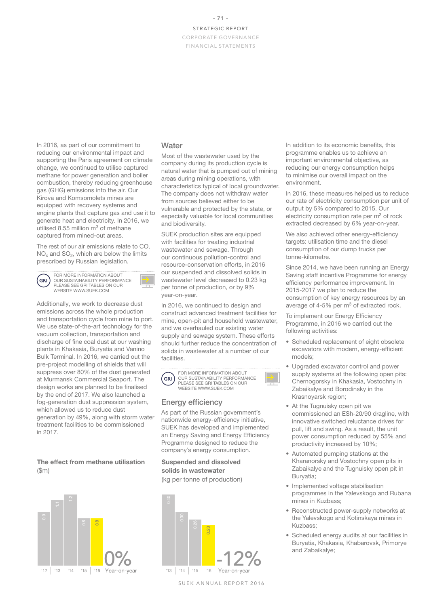FINANCIAL STATEMENTS

In 2016, as part of our commitment to reducing our environmental impact and supporting the Paris agreement on climate change, we continued to utilise captured methane for power generation and boiler combustion, thereby reducing greenhouse gas (GHG) emissions into the air. Our Kirova and Komsomolets mines are equipped with recovery systems and engine plants that capture gas and use it to generate heat and electricity. In 2016, we utilised 8.55 million  $m<sup>3</sup>$  of methane captured from mined-out areas.

The rest of our air emissions relate to CO,  $NO<sub>x</sub>$  and  $SO<sub>2</sub>$ , which are below the limits prescribed by Russian legislation.

FOR MORE INFORMATION ABOUT GRI OUR SUSTAINABILITY PERFORMANCE PLEASE SEE GRI TABLES ON OUR WEBSITE WWW.SUEK.COM



Additionally, we work to decrease dust emissions across the whole production and transportation cycle from mine to port. We use state-of-the-art technology for the vacuum collection, transportation and discharge of fine coal dust at our washing plants in Khakasia, Buryatia and Vanino Bulk Terminal. In 2016, we carried out the pre-project modelling of shields that will suppress over 80% of the dust generated at Murmansk Commercial Seaport. The design works are planned to be finalised by the end of 2017. We also launched a fog-generation dust suppression system, which allowed us to reduce dust generation by 49%, along with storm water treatment facilities to be commissioned in 2017.

### The effect from methane utilisation (\$m)



#### **Water**

Most of the wastewater used by the company during its production cycle is natural water that is pumped out of mining areas during mining operations, with characteristics typical of local groundwater. The company does not withdraw water from sources believed either to be vulnerable and protected by the state, or especially valuable for local communities and biodiversity.

SUEK production sites are equipped with facilities for treating industrial wastewater and sewage. Through our continuous pollution-control and resource-conservation efforts, in 2016 our suspended and dissolved solids in wastewater level decreased to 0.23 kg per tonne of production, or by 9% year-on-year.

In 2016, we continued to design and construct advanced treatment facilities for mine, open-pit and household wastewater, and we overhauled our existing water supply and sewage system. These efforts should further reduce the concentration of solids in wastewater at a number of our facilities.



FOR MORE INFORMATION ABOUT OUR SUSTAINABILITY PERFORMANCE PLEASE SEE GRI TABLES ON OUR WEBSITE WWW.SUEK.COM

# Energy efficiency

As part of the Russian government's nationwide energy-efficiency initiative, SUEK has developed and implemented an Energy Saving and Energy Efficiency Programme designed to reduce the company's energy consumption.

# Suspended and dissolved solids in wastewater

(kg per tonne of production)



SUEK ANNUAL REPORT 2016

In addition to its economic benefits, this programme enables us to achieve an important environmental objective, as reducing our energy consumption helps to minimise our overall impact on the environment.

In 2016, these measures helped us to reduce our rate of electricity consumption per unit of output by 5% compared to 2015. Our electricity consumption rate per m<sup>3</sup> of rock extracted decreased by 6% year-on-year.

We also achieved other energy-efficiency targets: utilisation time and the diesel consumption of our dump trucks per tonne-kilometre.

Since 2014, we have been running an Energy Saving staff incentive Programme for energy efficiency performance improvement. In 2015-2017 we plan to reduce the consumption of key energy resources by an average of 4-5% per m<sup>3</sup> of extracted rock.

To implement our Energy Efficiency Programme, in 2016 we carried out the following activities:

- Scheduled replacement of eight obsolete excavators with modern, energy-efficient models;
- Upgraded excavator control and power supply systems at the following open pits: Chernogorsky in Khakasia, Vostochny in Zabaikalye and Borodinsky in the Krasnoyarsk region;
- At the Tugnuisky open pit we commissioned an ESh-20/90 dragline, with innovative switched reluctance drives for pull, lift and swing. As a result, the unit power consumption reduced by 55% and productivity increased by 10%;
- Automated pumping stations at the Kharanorsky and Vostochny open pits in Zabaikalye and the Tugnuisky open pit in Buryatia;
- Implemented voltage stabilisation programmes in the Yalevskogo and Rubana mines in Kuzbass;
- Reconstructed power-supply networks at the Yalevskogo and Kotinskaya mines in Kuzbass;
- Scheduled energy audits at our facilities in Buryatia, Khakasia, Khabarovsk, Primorye and Zabaikalye;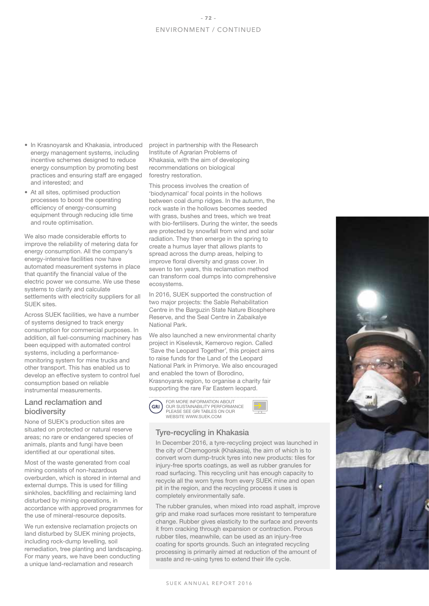- In Krasnoyarsk and Khakasia, introduced energy management systems, including incentive schemes designed to reduce energy consumption by promoting best practices and ensuring staff are engaged and interested; and
- At all sites, optimised production processes to boost the operating efficiency of energy-consuming equipment through reducing idle time and route optimisation.

We also made considerable efforts to improve the reliability of metering data for energy consumption. All the company's energy-intensive facilities now have automated measurement systems in place that quantify the financial value of the electric power we consume. We use these systems to clarify and calculate settlements with electricity suppliers for all SUEK sites.

Across SUEK facilities, we have a number of systems designed to track energy consumption for commercial purposes. In addition, all fuel-consuming machinery has been equipped with automated control systems, including a performancemonitoring system for mine trucks and other transport. This has enabled us to develop an effective system to control fuel consumption based on reliable instrumental measurements.

# Land reclamation and biodiversity

None of SUEK's production sites are situated on protected or natural reserve areas; no rare or endangered species of animals, plants and fungi have been identified at our operational sites.

Most of the waste generated from coal mining consists of non-hazardous overburden, which is stored in internal and external dumps. This is used for filling sinkholes, backfilling and reclaiming land disturbed by mining operations, in accordance with approved programmes for the use of mineral-resource deposits.

We run extensive reclamation projects on land disturbed by SUEK mining projects. including rock-dump levelling, soil remediation, tree planting and landscaping. For many years, we have been conducting a unique land-reclamation and research

project in partnership with the Research Institute of Agrarian Problems of Khakasia, with the aim of developing recommendations on biological forestry restoration.

This process involves the creation of 'biodynamical' focal points in the hollows between coal dump ridges. In the autumn, the rock waste in the hollows becomes seeded with grass, bushes and trees, which we treat with bio-fertilisers. During the winter, the seeds are protected by snowfall from wind and solar radiation. They then emerge in the spring to create a humus layer that allows plants to spread across the dump areas, helping to improve floral diversity and grass cover. In seven to ten years, this reclamation method can transform coal dumps into comprehensive ecosystems.

In 2016, SUEK supported the construction of two major projects: the Sable Rehabilitation Centre in the Barguzin State Nature Biosphere Reserve, and the Seal Centre in Zabaikalye National Park.

We also launched a new environmental charity project in Kiselevsk, Kemerovo region. Called 'Save the Leopard Together', this project aims to raise funds for the Land of the Leopard National Park in Primorye. We also encouraged and enabled the town of Borodino, Krasnoyarsk region, to organise a charity fair supporting the rare Far Eastern leopard.



# Tyre-recycling in Khakasia

In December 2016, a tyre-recycling project was launched in the city of Chernogorsk (Khakasia), the aim of which is to convert worn dump-truck tyres into new products: tiles for injury-free sports coatings, as well as rubber granules for road surfacing. This recycling unit has enough capacity to recycle all the worn tyres from every SUEK mine and open pit in the region, and the recycling process it uses is completely environmentally safe.

The rubber granules, when mixed into road asphalt, improve grip and make road surfaces more resistant to temperature change. Rubber gives elasticity to the surface and prevents it from cracking through expansion or contraction. Porous rubber tiles, meanwhile, can be used as an injury-free coating for sports grounds. Such an integrated recycling processing is primarily aimed at reduction of the amount of waste and re-using tyres to extend their life cycle.

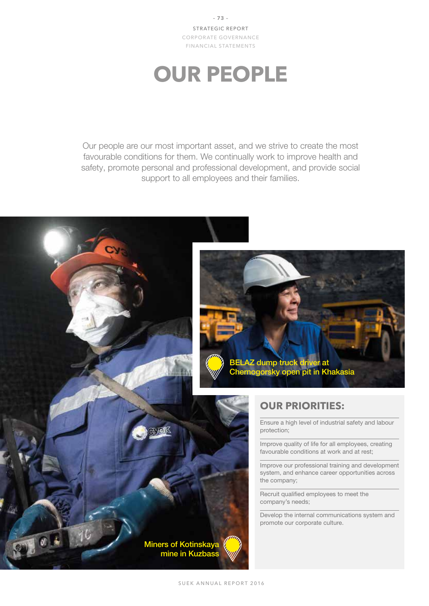**– 73 –** STRATEGIC REPORT CORPORATE GOVERNANCE FINANCIAL STATEMENTS

# **OUR PEOPLE**

Our people are our most important asset, and we strive to create the most favourable conditions for them. We continually work to improve health and safety, promote personal and professional development, and provide social support to all employees and their families.

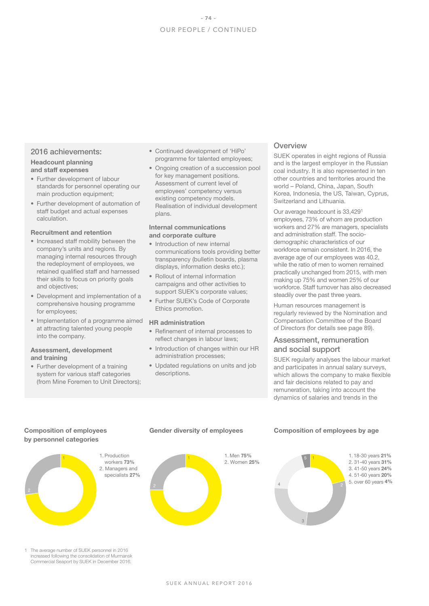# 2016 achievements:

#### Headcount planning and staff expenses

- Further development of labour standards for personnel operating our main production equipment:
- Further development of automation of staff budget and actual expenses calculation.

### Recruitment and retention

- Increased staff mobility between the company's units and regions. By managing internal resources through the redeployment of employees, we retained qualified staff and harnessed their skills to focus on priority goals and objectives;
- Development and implementation of a comprehensive housing programme for employees;
- Implementation of a programme aimed at attracting talented young people into the company.

#### Assessment, development and training

• Further development of a training system for various staff categories (from Mine Foremen to Unit Directors);

- Continued development of 'HiPo' programme for talented employees;
- Ongoing creation of a succession pool for key management positions. Assessment of current level of employees' competency versus existing competency models. Realisation of individual development plans.

#### Internal communications and corporate culture

- Introduction of new internal communications tools providing better transparency (bulletin boards, plasma displays, information desks etc.);
- Rollout of internal information campaigns and other activities to support SUEK's corporate values;
- Further SUEK's Code of Corporate Ethics promotion.

#### HR administration

- Refinement of internal processes to reflect changes in labour laws;
- Introduction of changes within our HR administration processes;
- Updated regulations on units and job descriptions.

# **Overview**

SUEK operates in eight regions of Russia and is the largest employer in the Russian coal industry. It is also represented in ten other countries and territories around the world – Poland, China, Japan, South Korea, Indonesia, the US, Taiwan, Cyprus, Switzerland and Lithuania.

Our average headcount is 33,4291 employees, 73% of whom are production workers and 27% are managers, specialists and administration staff. The sociodemographic characteristics of our workforce remain consistent. In 2016, the average age of our employees was 40.2, while the ratio of men to women remained practically unchanged from 2015, with men making up 75% and women 25% of our workforce. Staff turnover has also decreased steadily over the past three years.

Human resources management is regularly reviewed by the Nomination and Compensation Committee of the Board of Directors (for details see page 89).

# Assessment, remuneration and social support

SUEK regularly analyses the labour market and participates in annual salary surveys, which allows the company to make flexible and fair decisions related to pay and remuneration, taking into account the dynamics of salaries and trends in the

# Composition of employees by personnel categories



The average number of SUEK personnel in 2016 increased following the consolidation of Murmansk Commercial Seaport by SUEK in December 2016.

# Gender diversity of employees



# Composition of employees by age

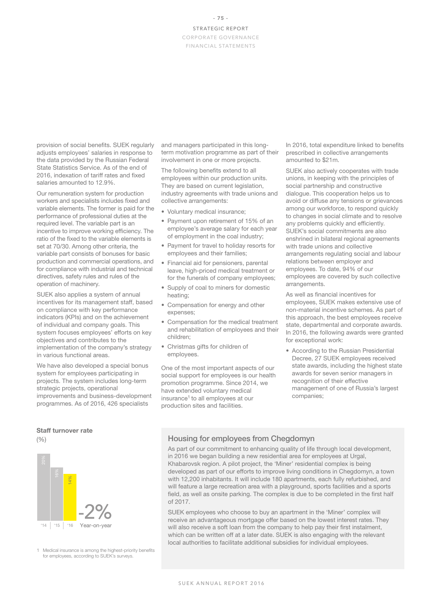provision of social benefits. SUEK regularly adjusts employees' salaries in response to the data provided by the Russian Federal State Statistics Service. As of the end of 2016, indexation of tariff rates and fixed salaries amounted to 12.9%.

Our remuneration system for production workers and specialists includes fixed and variable elements. The former is paid for the performance of professional duties at the required level. The variable part is an incentive to improve working efficiency. The ratio of the fixed to the variable elements is set at 70/30. Among other criteria, the variable part consists of bonuses for basic production and commercial operations, and for compliance with industrial and technical directives, safety rules and rules of the operation of machinery.

SUEK also applies a system of annual incentives for its management staff, based on compliance with key performance indicators (KPIs) and on the achievement of individual and company goals. This system focuses employees' efforts on key objectives and contributes to the implementation of the company's strategy in various functional areas.

We have also developed a special bonus system for employees participating in projects. The system includes long-term strategic projects, operational improvements and business-development programmes. As of 2016, 426 specialists

#### Staff turnover rate

(%)



1 Medical insurance is among the highest-priority benefits for employees, according to SUEK's surveys.

and managers participated in this longterm motivation programme as part of their involvement in one or more projects.

The following benefits extend to all employees within our production units. They are based on current legislation, industry agreements with trade unions and collective arrangements:

- Voluntary medical insurance;
- Payment upon retirement of 15% of an employee's average salary for each year of employment in the coal industry;
- Payment for travel to holiday resorts for employees and their families;
- Financial aid for pensioners, parental leave, high-priced medical treatment or for the funerals of company employees;
- Supply of coal to miners for domestic heating;
- Compensation for energy and other expenses;
- Compensation for the medical treatment and rehabilitation of employees and their children;
- Christmas gifts for children of employees.

One of the most important aspects of our social support for employees is our health promotion programme. Since 2014, we have extended voluntary medical insurance1 to all employees at our production sites and facilities.

In 2016, total expenditure linked to benefits prescribed in collective arrangements amounted to \$21m.

SUEK also actively cooperates with trade unions, in keeping with the principles of social partnership and constructive dialogue. This cooperation helps us to avoid or diffuse any tensions or grievances among our workforce, to respond quickly to changes in social climate and to resolve any problems quickly and efficiently. SUEK's social commitments are also enshrined in bilateral regional agreements with trade unions and collective arrangements regulating social and labour relations between employer and employees. To date, 94% of our employees are covered by such collective arrangements.

As well as financial incentives for employees, SUEK makes extensive use of non-material incentive schemes. As part of this approach, the best employees receive state, departmental and corporate awards. In 2016, the following awards were granted for exceptional work:

• According to the Russian Presidential Decree, 27 SUEK employees received state awards, including the highest state awards for seven senior managers in recognition of their effective management of one of Russia's largest companies;

# Housing for employees from Chegdomyn

As part of our commitment to enhancing quality of life through local development, in 2016 we began building a new residential area for employees at Urgal, Khabarovsk region. A pilot project, the 'Miner' residential complex is being developed as part of our efforts to improve living conditions in Chegdomyn, a town with 12,200 inhabitants. It will include 180 apartments, each fully refurbished, and will feature a large recreation area with a playground, sports facilities and a sports field, as well as onsite parking. The complex is due to be completed in the first half of 2017.

SUEK employees who choose to buy an apartment in the 'Miner' complex will receive an advantageous mortgage offer based on the lowest interest rates. They will also receive a soft loan from the company to help pay their first instalment. which can be written off at a later date. SUEK is also engaging with the relevant local authorities to facilitate additional subsidies for individual employees.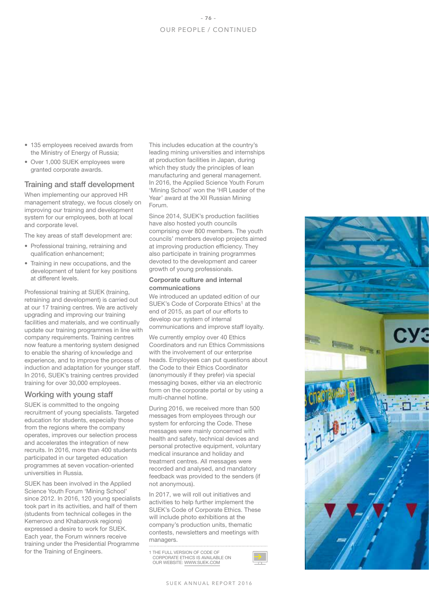- 135 employees received awards from the Ministry of Energy of Russia;
- Over 1,000 SUEK employees were granted corporate awards.

# Training and staff development

When implementing our approved HR management strategy, we focus closely on improving our training and development system for our employees, both at local and corporate level.

The key areas of staff development are:

- Professional training, retraining and qualification enhancement;
- Training in new occupations, and the development of talent for key positions at different levels.

Professional training at SUEK (training, retraining and development) is carried out at our 17 training centres. We are actively upgrading and improving our training facilities and materials, and we continually update our training programmes in line with company requirements. Training centres now feature a mentoring system designed to enable the sharing of knowledge and experience, and to improve the process of induction and adaptation for younger staff. In 2016, SUEK's training centres provided training for over 30,000 employees.

# Working with young staff

SUEK is committed to the ongoing recruitment of young specialists. Targeted education for students, especially those from the regions where the company operates, improves our selection process and accelerates the integration of new recruits. In 2016, more than 400 students participated in our targeted education programmes at seven vocation-oriented universities in Russia.

SUEK has been involved in the Applied Science Youth Forum 'Mining School' since 2012. In 2016, 120 young specialists took part in its activities, and half of them (students from technical colleges in the Kemerovo and Khabarovsk regions) expressed a desire to work for SUEK. Each year, the Forum winners receive training under the Presidential Programme for the Training of Engineers.

This includes education at the country's leading mining universities and internships at production facilities in Japan, during which they study the principles of lean manufacturing and general management. In 2016, the Applied Science Youth Forum 'Mining School' won the 'HR Leader of the Year' award at the XII Russian Mining Forum.

Since 2014, SUEK's production facilities have also hosted youth councils comprising over 800 members. The youth councils' members develop projects aimed at improving production efficiency. They also participate in training programmes devoted to the development and career growth of young professionals.

#### Corporate culture and internal communications

We introduced an updated edition of our SUEK's Code of Corporate Ethics<sup>1</sup> at the end of 2015, as part of our efforts to develop our system of internal communications and improve staff loyalty.

We currently employ over 40 Ethics Coordinators and run Ethics Commissions with the involvement of our enterprise heads. Employees can put questions about the Code to their Ethics Coordinator (anonymously if they prefer) via special messaging boxes, either via an electronic form on the corporate portal or by using a multi-channel hotline.

During 2016, we received more than 500 messages from employees through our system for enforcing the Code. These messages were mainly concerned with health and safety, technical devices and personal protective equipment, voluntary medical insurance and holiday and treatment centres. All messages were recorded and analysed, and mandatory feedback was provided to the senders (if not anonymous).

In 2017, we will roll out initiatives and activities to help further implement the SUEK's Code of Corporate Ethics. These will include photo exhibitions at the company's production units, thematic contests, newsletters and meetings with managers.

1 THE FULL VERSION OF CODE OF OLL VEHOLON OF OODE OF OUR WEBSITE: WWW.SUEK.COM



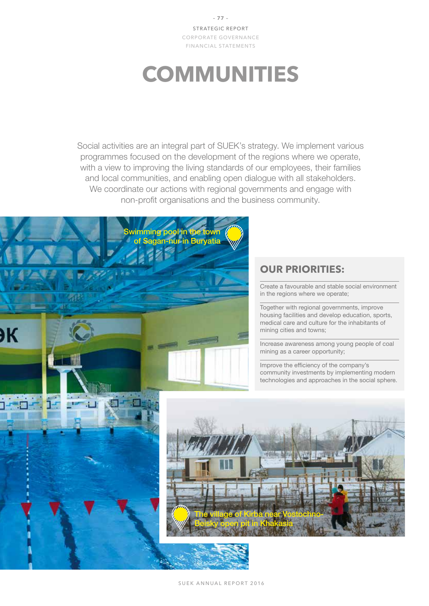**– 77 –** STRATEGIC REPORT CORPORATE GOVERNANCE FINANCIAL STATEMENTS

# **COMMUNITIES**

Social activities are an integral part of SUEK's strategy. We implement various programmes focused on the development of the regions where we operate, with a view to improving the living standards of our employees, their families and local communities, and enabling open dialogue with all stakeholders. We coordinate our actions with regional governments and engage with non-profit organisations and the business community.



# **OUR PRIORITIES:**

Create a favourable and stable social environment in the regions where we operate;

Together with regional governments, improve housing facilities and develop education, sports, medical care and culture for the inhabitants of mining cities and towns;

Increase awareness among young people of coal mining as a career opportunity;

Improve the efficiency of the company's community investments by implementing modern technologies and approaches in the social sphere.

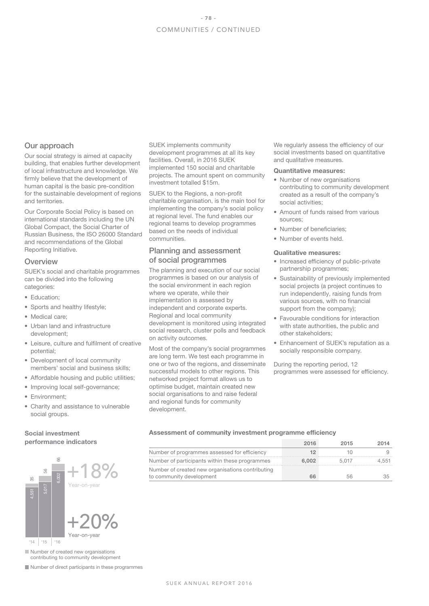#### Our approach

Our social strategy is aimed at capacity building, that enables further development of local infrastructure and knowledge. We firmly believe that the development of human capital is the basic pre-condition for the sustainable development of regions and territories.

Our Corporate Social Policy is based on international standards including the UN Global Compact, the Social Charter of Russian Business, the ISO 26000 Standard and recommendations of the Global Reporting Initiative.

#### **Overview**

SUEK's social and charitable programmes can be divided into the following categories:

- Education:
- Sports and healthy lifestyle;
- Medical care;
- Urban land and infrastructure development;
- Leisure, culture and fulfilment of creative potential;
- Development of local community members' social and business skills;
- Affordable housing and public utilities;
- Improving local self-governance;
- Environment;
- Charity and assistance to vulnerable social groups.

### Social investment performance indicators



Number of created new organisations contributing to community development

Number of direct participants in these programmes

SUEK implements community development programmes at all its key facilities. Overall, in 2016 SUEK implemented 150 social and charitable projects. The amount spent on community investment totalled \$15m.

SUEK to the Regions, a non-profit charitable organisation, is the main tool for implementing the company's social policy at regional level. The fund enables our regional teams to develop programmes based on the needs of individual communities.

# Planning and assessment of social programmes

The planning and execution of our social programmes is based on our analysis of the social environment in each region where we operate, while their implementation is assessed by independent and corporate experts. Regional and local community development is monitored using integrated social research, cluster polls and feedback on activity outcomes.

Most of the company's social programmes are long term. We test each programme in one or two of the regions, and disseminate successful models to other regions. This networked project format allows us to optimise budget, maintain created new social organisations to and raise federal and regional funds for community development.

We regularly assess the efficiency of our social investments based on quantitative and qualitative measures.

#### Quantitative measures:

- Number of new organisations contributing to community development created as a result of the company's social activities;
- Amount of funds raised from various sources;
- Number of beneficiaries;
- Number of events held.

#### Qualitative measures:

- Increased efficiency of public-private partnership programmes;
- Sustainability of previously implemented social projects (a project continues to run independently, raising funds from various sources, with no financial support from the company);
- Favourable conditions for interaction with state authorities, the public and other stakeholders;
- Enhancement of SUEK's reputation as a socially responsible company.

During the reporting period, 12 programmes were assessed for efficiency.

#### Assessment of community investment programme efficiency

|                                                                              | 2016  | 2015  | 2014  |
|------------------------------------------------------------------------------|-------|-------|-------|
| Number of programmes assessed for efficiency                                 |       |       |       |
| Number of participants within these programmes                               | 6.002 | 5.017 | 4.551 |
| Number of created new organisations contributing<br>to community development | 66    |       |       |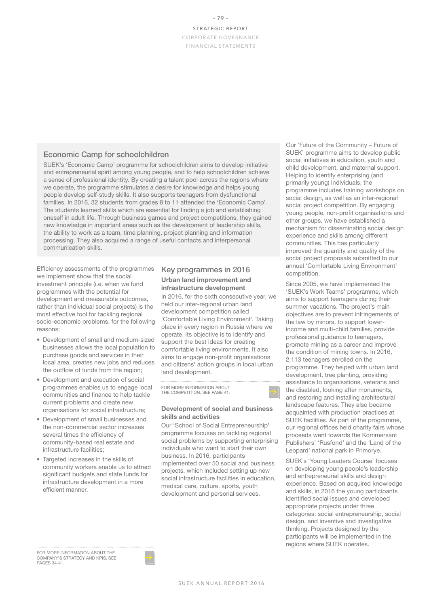# Economic Camp for schoolchildren

SUEK's 'Economic Camp' programme for schoolchildren aims to develop initiative and entrepreneurial spirit among young people, and to help schoolchildren achieve a sense of professional identity. By creating a talent pool across the regions where we operate, the programme stimulates a desire for knowledge and helps young people develop self-study skills. It also supports teenagers from dysfunctional families. In 2016, 32 students from grades 8 to 11 attended the 'Economic Camp'. The students learned skills which are essential for finding a job and establishing oneself in adult life. Through business games and project competitions, they gained new knowledge in important areas such as the development of leadership skills, the ability to work as a team, time planning, project planning and information processing. They also acquired a range of useful contacts and interpersonal communication skills.

Efficiency assessments of the programmes we implement show that the social investment principle (i.e. when we fund programmes with the potential for development and measurable outcomes, rather than individual social projects) is the most effective tool for tackling regional socio-economic problems, for the following reasons:

- Development of small and medium-sized businesses allows the local population to purchase goods and services in their local area, creates new jobs and reduces the outflow of funds from the region;
- Development and execution of social programmes enables us to engage local communities and finance to help tackle current problems and create new organisations for social infrastructure;
- Development of small businesses and the non-commercial sector increases several times the efficiency of community-based real estate and infrastructure facilities;
- Targeted increases in the skills of community workers enable us to attract significant budgets and state funds for infrastructure development in a more efficient manner.

# Key programmes in 2016 Urban land improvement and infrastructure development

In 2016, for the sixth consecutive year, we held our inter-regional urban land development competition called 'Comfortable Living Environment'. Taking place in every region in Russia where we operate, its objective is to identify and support the best ideas for creating comfortable living environments. It also aims to engage non-profit organisations and citizens' action groups in local urban land development.

FOR MORE INFORMATION ABOUT THE COMPETITION, SEE PAGE 41.

#### Development of social and business skills and activities

Our 'School of Social Entrepreneurship' programme focuses on tackling regional social problems by supporting enterprising individuals who want to start their own business. In 2016, participants implemented over 50 social and business projects, which included setting up new social infrastructure facilities in education, medical care, culture, sports, youth development and personal services.

Our 'Future of the Community – Future of SUEK' programme aims to develop public social initiatives in education, youth and child development, and maternal support. Helping to identify enterprising (and primarily young) individuals, the programme includes training workshops on social design, as well as an inter-regional social project competition. By engaging young people, non-profit organisations and other groups, we have established a mechanism for disseminating social design experience and skills among different communities. This has particularly improved the quantity and quality of the social project proposals submitted to our annual 'Comfortable Living Environment' competition.

Since 2005, we have implemented the 'SUEK's Work Teams' programme, which aims to support teenagers during their summer vacations. The project's main objectives are to prevent infringements of the law by minors, to support lowerincome and multi-child families, provide professional guidance to teenagers, promote mining as a career and improve the condition of mining towns. In 2016, 2,113 teenagers enrolled on the programme. They helped with urban land development, tree planting, providing assistance to organisations, veterans and the disabled, looking after monuments, and restoring and installing architectural landscape features. They also became acquainted with production practices at SUEK facilities. As part of the programme, our regional offices held charity fairs whose proceeds went towards the Kommersant Publishers' 'Rusfond' and the 'Land of the Leopard' national park in Primorye.

SUEK's 'Young Leaders Course' focuses on developing young people's leadership and entrepreneurial skills and design experience. Based on acquired knowledge and skills, in 2016 the young participants identified social issues and developed appropriate projects under three categories: social entrepreneurship, social design, and inventive and investigative thinking. Projects designed by the participants will be implemented in the regions where SUEK operates.

FOR MORE INFORMATION ABOUT THE COMPANY'S STRATEGY AND KPIS, SEE PAGES 34-41.